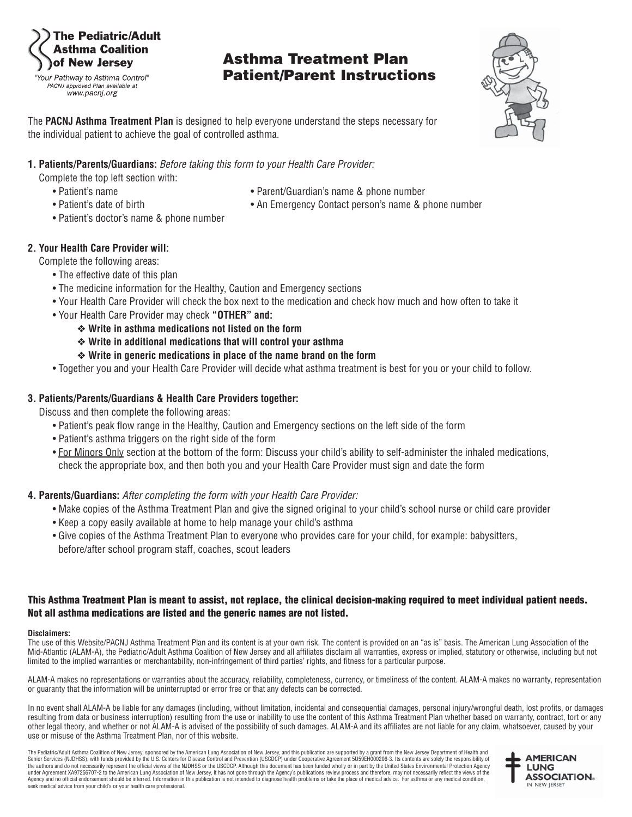### he Pediatric/Adult **Isthma Coalition** of New Jersey

"Your Pathway to Asthma Control" PACNJ approved Plan available at www.pacnj.org

## **Asthma Treatment Plan Patient/Parent Instructions**



The **PACNJ Asthma Treatment Plan** is designed to help everyone understand the steps necessary for the individual patient to achieve the goal of controlled asthma.

#### **1. Patients/Parents/Guardians:** Before taking this form to your Health Care Provider:

Complete the top left section with:

- 
- 
- Patient's name  **Parent/Guardian's name & phone number Parent/Guardian's name & phone number**
- Patient's date of birth An Emergency Contact person's name & phone number
- Patient's doctor's name & phone number

#### **2. Your Health Care Provider will:**

Complete the following areas:

- The effective date of this plan
- The medicine information for the Healthy, Caution and Emergency sections
- Your Health Care Provider will check the box next to the medication and check how much and how often to take it
- Your Health Care Provider may check **"OTHER" and:**
	- ❖ **Write in asthma medications not listed on the form**
	- ❖ **Write in additional medications that will control your asthma**
	- ❖ **Write in generic medications in place of the name brand on the form**
- Together you and your Health Care Provider will decide what asthma treatment is best for you or your child to follow.

#### **3. Patients/Parents/Guardians & Health Care Providers together:**

Discuss and then complete the following areas:

- Patient's peak flow range in the Healthy, Caution and Emergency sections on the left side of the form
- Patient's asthma triggers on the right side of the form
- For Minors Only section at the bottom of the form: Discuss your child's ability to self-administer the inhaled medications, check the appropriate box, and then both you and your Health Care Provider must sign and date the form

#### **4. Parents/Guardians:** After completing the form with your Health Care Provider:

- Make copies of the Asthma Treatment Plan and give the signed original to your child's school nurse or child care provider
- Keep a copy easily available at home to help manage your child's asthma
- Give copies of the Asthma Treatment Plan to everyone who provides care for your child, for example: babysitters, before/after school program staff, coaches, scout leaders

#### **This Asthma Treatment Plan is meant to assist, not replace, the clinical decision-making required to meet individual patient needs. Not all asthma medications are listed and the generic names are not listed.**

#### **Disclaimers:**

The use of this Website/PACNJ Asthma Treatment Plan and its content is at your own risk. The content is provided on an "as is" basis. The American Lung Association of the Mid-Atlantic (ALAM-A), the Pediatric/Adult Asthma Coalition of New Jersey and all affiliates disclaim all warranties, express or implied, statutory or otherwise, including but not limited to the implied warranties or merchantability, non-infringement of third parties' rights, and fitness for a particular purpose.

ALAM-A makes no representations or warranties about the accuracy, reliability, completeness, currency, or timeliness of the content. ALAM-A makes no warranty, representation or guaranty that the information will be uninterrupted or error free or that any defects can be corrected.

In no event shall ALAM-A be liable for any damages (including, without limitation, incidental and consequential damages, personal injury/wrongful death, lost profits, or damages resulting from data or business interruption) resulting from the use or inability to use the content of this Asthma Treatment Plan whether based on warranty, contract, tort or any other legal theory, and whether or not ALAM-A is advised of the possibility of such damages. ALAM-A and its affiliates are not liable for any claim, whatsoever, caused by your use or misuse of the Asthma Treatment Plan, nor of this website.

The Pediatric/Adult Asthma Coalition of New Jersey, sponsored by the American Lung Association of New Jersey, and this publication are supported by a grant from the New Jersey Department of Health and Senior Services (NJDHSS), with funds provided by the U.S. Centers for Disease Control and Prevention (USCDCP) under Cooperative Agreement 5U59EH000206-3. Its contents are solely the responsibility of<br>the authors and do not under Agreement XA97256707-2 to the American Lung Association of New Jersey, it has not gone though the Agency's publications review process and therefore, may not necessarily reflect the views of the<br>Agency and no officia seek medical advice from your child's or your health care professional.